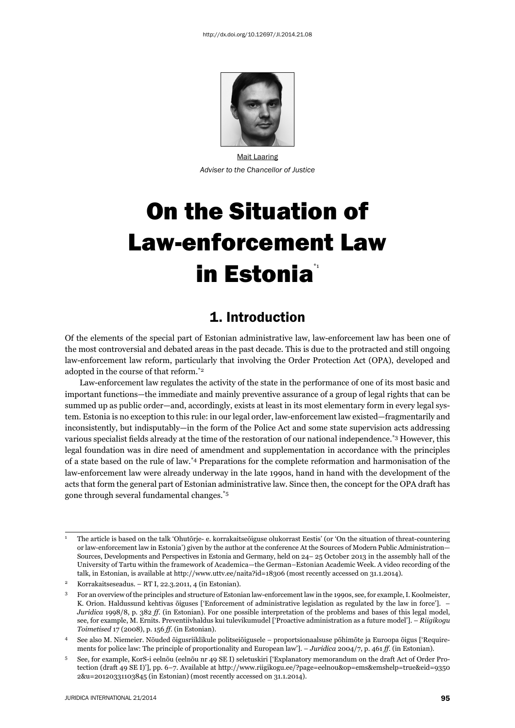

Mait Laaring *Adviser to the Chancellor of Justice*

# On the Situation of Law-enforcement Law in Estonia<sup>\*</sup>

#### 1. Introduction

Of the elements of the special part of Estonian administrative law, law-enforcement law has been one of the most controversial and debated areas in the past decade. This is due to the protracted and still ongoing law-enforcement law reform, particularly that involving the Order Protection Act (OPA), developed and adopted in the course of that reform.\*2

Law-enforcement law regulates the activity of the state in the performance of one of its most basic and important functions—the immediate and mainly preventive assurance of a group of legal rights that can be summed up as public order—and, accordingly, exists at least in its most elementary form in every legal system. Estonia is no exception to this rule: in our legal order, law-enforcement law existed—fragmentarily and inconsistently, but indisputably—in the form of the Police Act and some state supervision acts addressing various specialist fields already at the time of the restoration of our national independence.<sup>\*3</sup> However, this legal foundation was in dire need of amendment and supplementation in accordance with the principles of a state based on the rule of law.\*4 Preparations for the complete reformation and harmonisation of the law-enforcement law were already underway in the late 1990s, hand in hand with the development of the acts that form the general part of Estonian administrative law. Since then, the concept for the OPA draft has gone through several fundamental changes.\*5

<sup>1</sup> The article is based on the talk 'Ohutõrje- e. korrakaitseõiguse olukorrast Eestis' (or 'On the situation of threat-countering or law-enforcement law in Estonia') given by the author at the conference At the Sources of Modern Public Administration— Sources, Developments and Perspectives in Estonia and Germany, held on 24– 25 October 2013 in the assembly hall of the University of Tartu within the framework of Academica—the German–Estonian Academic Week. A video recording of the talk, in Estonian, is available at http://www.uttv.ee/naita?id=18306 (most recently accessed on 31.1.2014).

<sup>2</sup> Korrakaitseseadus. – RT I, 22.3.2011, 4 (in Estonian).

<sup>3</sup> For an overview of the principles and structure of Estonian law-enforcement law in the 1990s, see, for example, I. Koolmeister, K. Orion. Haldussund kehtivas õiguses ['Enforcement of administrative legislation as regulated by the law in force']. – *Juridica* 1998/8, p. 382 *ff.* (in Estonian). For one possible interpretation of the problems and bases of this legal model, see, for example, M. Ernits. Preventiivhaldus kui tulevikumudel ['Proactive administration as a future model']. – *Riigikogu Toimetised* 17 (2008), p. 156 *ff.* (in Estonian).

<sup>4</sup> See also M. Niemeier. Nõuded õigusriiklikule politseiõigusele – proportsionaalsuse põhimõte ja Euroopa õigus ['Requirements for police law: The principle of proportionality and European law']. – *Juridica* 2004/7, p. 461 *ff.* (in Estonian).

<sup>5</sup> See, for example, KorS-i eelnõu (eelnõu nr 49 SE I) seletuskiri ['Explanatory memorandum on the draft Act of Order Protection (draft 49 SE I)'], pp. 6−7. Available at http://www.riigikogu.ee/?page=eelnou&op=ems&emshelp=true&eid=9350 2&u=20120331103845 (in Estonian) (most recently accessed on 31.1.2014).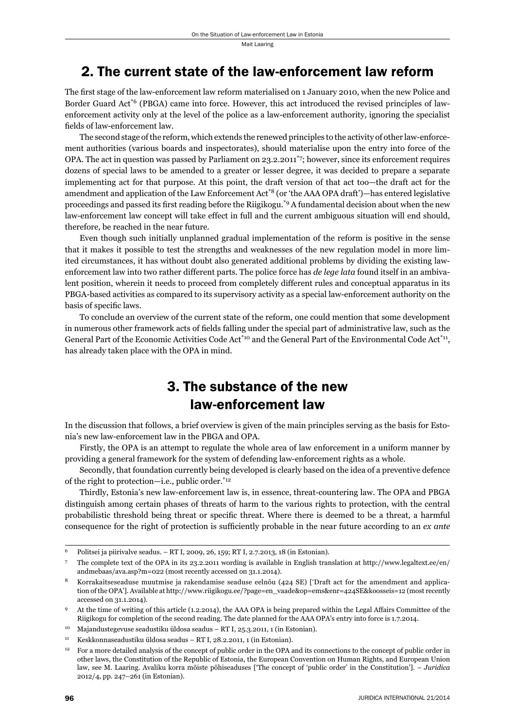## 2. The current state of the law-enforcement law reform

The first stage of the law-enforcement law reform materialised on 1 January 2010, when the new Police and Border Guard Act\*6 (PBGA) came into force. However, this act introduced the revised principles of lawenforcement activity only at the level of the police as a law-enforcement authority, ignoring the specialist fields of law-enforcement law.

The second stage of the reform, which extends the renewed principles to the activity of other law-enforcement authorities (various boards and inspectorates), should materialise upon the entry into force of the OPA. The act in question was passed by Parliament on 23.2.2011<sup>\*</sup>7; however, since its enforcement requires dozens of special laws to be amended to a greater or lesser degree, it was decided to prepare a separate implementing act for that purpose. At this point, the draft version of that act too—the draft act for the amendment and application of the Law Enforcement Act<sup>\*8</sup> (or 'the AAA OPA draft')—has entered legislative proceedings and passed its first reading before the Riigikogu.<sup>\*9</sup> A fundamental decision about when the new law-enforcement law concept will take effect in full and the current ambiguous situation will end should, therefore, be reached in the near future.

Even though such initially unplanned gradual implementation of the reform is positive in the sense that it makes it possible to test the strengths and weaknesses of the new regulation model in more limited circumstances, it has without doubt also generated additional problems by dividing the existing lawenforcement law into two rather different parts. The police force has *de lege lata* found itself in an ambivalent position, wherein it needs to proceed from completely different rules and conceptual apparatus in its PBGA-based activities as compared to its supervisory activity as a special law-enforcement authority on the basis of specific laws.

To conclude an overview of the current state of the reform, one could mention that some development in numerous other framework acts of fields falling under the special part of administrative law, such as the General Part of the Economic Activities Code Act<sup>\*10</sup> and the General Part of the Environmental Code Act<sup>\*11</sup>, has already taken place with the OPA in mind.

# 3. The substance of the new law-enforcement law

In the discussion that follows, a brief overview is given of the main principles serving as the basis for Estonia's new law-enforcement law in the PBGA and OPA.

Firstly, the OPA is an attempt to regulate the whole area of law enforcement in a uniform manner by providing a general framework for the system of defending law-enforcement rights as a whole.

Secondly, that foundation currently being developed is clearly based on the idea of a preventive defence of the right to protection—i.e., public order.\*12

Thirdly, Estonia's new law-enforcement law is, in essence, threat-countering law. The OPA and PBGA distinguish among certain phases of threats of harm to the various rights to protection, with the central probabilistic threshold being threat or specific threat. Where there is deemed to be a threat, a harmful consequence for the right of protection is sufficiently probable in the near future according to an *ex ante* 

<sup>6</sup> Politsei ja piirivalve seadus. – RT I, 2009, 26, 159; RT I, 2.7.2013, 18 (in Estonian).

<sup>7</sup> The complete text of the OPA in its 23.2.2011 wording is available in English translation at http://www.legaltext.ee/en/ andmebaas/ava.asp?m=022 (most recently accessed on 31.1.2014).

<sup>8</sup> Korrakaitseseaduse muutmise ja rakendamise seaduse eelnõu (424 SE) ['Draft act for the amendment and application of the OPA']. Available at http://www.riigikogu.ee/?page=en\_vaade&op=ems&enr=424SE&koosseis=12 (most recently accessed on 31.1.2014).

<sup>9</sup> At the time of writing of this article (1.2.2014), the AAA OPA is being prepared within the Legal Affairs Committee of the Riigikogu for completion of the second reading. The date planned for the AAA OPA's entry into force is 1.7.2014.

<sup>10</sup> Majandustegevuse seadustiku üldosa seadus – RT I, 25.3.2011, 1 (in Estonian).

<sup>11</sup> Keskkonnaseadustiku üldosa seadus – RT I, 28.2.2011, 1 (in Estonian).

<sup>&</sup>lt;sup>12</sup> For a more detailed analysis of the concept of public order in the OPA and its connections to the concept of public order in other laws, the Constitution of the Republic of Estonia, the European Convention on Human Rights, and European Union law, see M. Laaring. Avaliku korra mõiste põhiseaduses ['The concept of 'public order' in the Constitution']. – *Juridica* 2012/4, pp. 247–261 (in Estonian).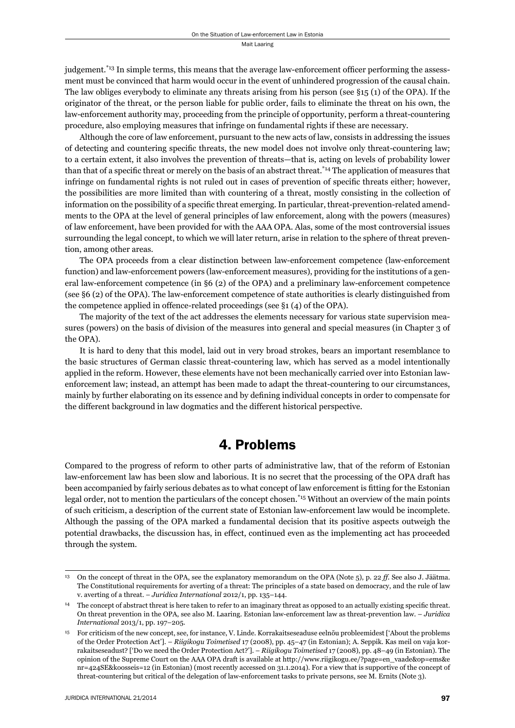Mait Laaring

judgement.<sup>\*13</sup> In simple terms, this means that the average law-enforcement officer performing the assessment must be convinced that harm would occur in the event of unhindered progression of the causal chain. The law obliges everybody to eliminate any threats arising from his person (see §15 (1) of the OPA). If the originator of the threat, or the person liable for public order, fails to eliminate the threat on his own, the law-enforcement authority may, proceeding from the principle of opportunity, perform a threat-countering procedure, also employing measures that infringe on fundamental rights if these are necessary.

Although the core of law enforcement, pursuant to the new acts of law, consists in addressing the issues of detecting and countering specific threats, the new model does not involve only threat-countering law; to a certain extent, it also involves the prevention of threats—that is, acting on levels of probability lower than that of a specific threat or merely on the basis of an abstract threat.<sup>\*14</sup> The application of measures that infringe on fundamental rights is not ruled out in cases of prevention of specific threats either; however, the possibilities are more limited than with countering of a threat, mostly consisting in the collection of information on the possibility of a specific threat emerging. In particular, threat-prevention-related amendments to the OPA at the level of general principles of law enforcement, along with the powers (measures) of law enforcement, have been provided for with the AAA OPA. Alas, some of the most controversial issues surrounding the legal concept, to which we will later return, arise in relation to the sphere of threat prevention, among other areas.

The OPA proceeds from a clear distinction between law-enforcement competence (law-enforcement function) and law-enforcement powers (law-enforcement measures), providing for the institutions of a general law-enforcement competence (in §6 (2) of the OPA) and a preliminary law-enforcement competence (see §6 (2) of the OPA). The law-enforcement competence of state authorities is clearly distinguished from the competence applied in offence-related proceedings (see §1 (4) of the OPA).

The majority of the text of the act addresses the elements necessary for various state supervision measures (powers) on the basis of division of the measures into general and special measures (in Chapter 3 of the OPA).

It is hard to deny that this model, laid out in very broad strokes, bears an important resemblance to the basic structures of German classic threat-countering law, which has served as a model intentionally applied in the reform. However, these elements have not been mechanically carried over into Estonian lawenforcement law; instead, an attempt has been made to adapt the threat-countering to our circumstances, mainly by further elaborating on its essence and by defining individual concepts in order to compensate for the different background in law dogmatics and the different historical perspective.

### 4. Problems

Compared to the progress of reform to other parts of administrative law, that of the reform of Estonian law-enforcement law has been slow and laborious. It is no secret that the processing of the OPA draft has been accompanied by fairly serious debates as to what concept of law enforcement is fitting for the Estonian legal order, not to mention the particulars of the concept chosen.\*15 Without an overview of the main points of such criticism, a description of the current state of Estonian law-enforcement law would be incomplete. Although the passing of the OPA marked a fundamental decision that its positive aspects outweigh the potential drawbacks, the discussion has, in effect, continued even as the implementing act has proceeded through the system.

<sup>13</sup> On the concept of threat in the OPA, see the explanatory memorandum on the OPA (Note 5), p. 22 *ff*. See also J. Jäätma. The Constitutional requirements for averting of a threat: The principles of a state based on democracy, and the rule of law v. averting of a threat. – *Juridica International* 2012/1, pp. 135–144.

 $^{14}$  The concept of abstract threat is here taken to refer to an imaginary threat as opposed to an actually existing specific threat. On threat prevention in the OPA, see also M. Laaring. Estonian law-enforcement law as threat-prevention law. – *Juridica International* 2013/1, pp. 197–205.

<sup>15</sup> For criticism of the new concept, see, for instance, V. Linde. Korrakaitseseaduse eelnõu probleemidest ['About the problems of the Order Protection Act']. – *Riigikogu Toimetised* 17 (2008), pp. 45–47 (in Estonian); A. Seppik. Kas meil on vaja korrakaitseseadust? ['Do we need the Order Protection Act?']. – *Riigikogu Toimetised* 17 (2008), pp. 48–49 (in Estonian). The opinion of the Supreme Court on the AAA OPA draft is available at http://www.riigikogu.ee/?page=en\_vaade&op=ems&e nr=424SE&koosseis=12 (in Estonian) (most recently accessed on 31.1.2014). For a view that is supportive of the concept of threat-countering but critical of the delegation of law-enforcement tasks to private persons, see M. Ernits (Note 3).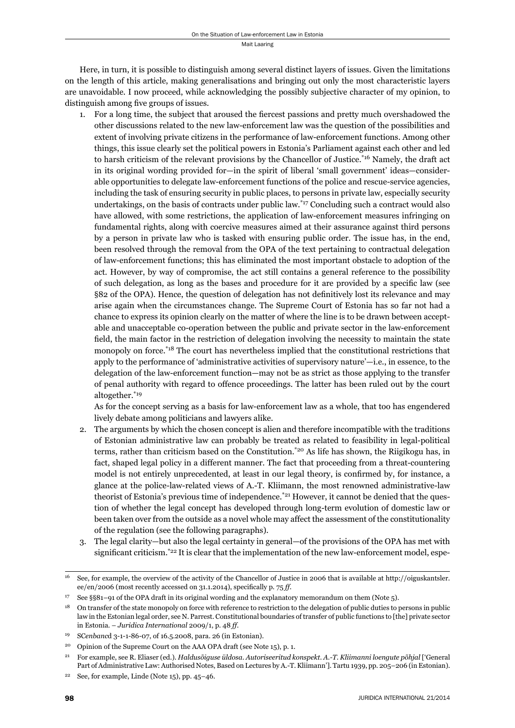Here, in turn, it is possible to distinguish among several distinct layers of issues. Given the limitations on the length of this article, making generalisations and bringing out only the most characteristic layers are unavoidable. I now proceed, while acknowledging the possibly subjective character of my opinion, to distinguish among five groups of issues.

1. For a long time, the subject that aroused the fiercest passions and pretty much overshadowed the other discussions related to the new law-enforcement law was the question of the possibilities and extent of involving private citizens in the performance of law-enforcement functions. Among other things, this issue clearly set the political powers in Estonia's Parliament against each other and led to harsh criticism of the relevant provisions by the Chancellor of Justice.\*16 Namely, the draft act in its original wording provided for—in the spirit of liberal 'small government' ideas—considerable opportunities to delegate law-enforcement functions of the police and rescue-service agencies, including the task of ensuring security in public places, to persons in private law, especially security undertakings, on the basis of contracts under public law.\*17 Concluding such a contract would also have allowed, with some restrictions, the application of law-enforcement measures infringing on fundamental rights, along with coercive measures aimed at their assurance against third persons by a person in private law who is tasked with ensuring public order. The issue has, in the end, been resolved through the removal from the OPA of the text pertaining to contractual delegation of law-enforcement functions; this has eliminated the most important obstacle to adoption of the act. However, by way of compromise, the act still contains a general reference to the possibility of such delegation, as long as the bases and procedure for it are provided by a specifi c law (see §82 of the OPA). Hence, the question of delegation has not definitively lost its relevance and may arise again when the circumstances change. The Supreme Court of Estonia has so far not had a chance to express its opinion clearly on the matter of where the line is to be drawn between acceptable and unacceptable co-operation between the public and private sector in the law-enforcement field, the main factor in the restriction of delegation involving the necessity to maintain the state monopoly on force.\*18 The court has nevertheless implied that the constitutional restrictions that apply to the performance of 'administrative activities of supervisory nature'—i.e., in essence, to the delegation of the law-enforcement function—may not be as strict as those applying to the transfer of penal authority with regard to offence proceedings. The latter has been ruled out by the court altogether.\*19

 As for the concept serving as a basis for law-enforcement law as a whole, that too has engendered lively debate among politicians and lawyers alike.

- 2. The arguments by which the chosen concept is alien and therefore incompatible with the traditions of Estonian administrative law can probably be treated as related to feasibility in legal-political terms, rather than criticism based on the Constitution.\*20 As life has shown, the Riigikogu has, in fact, shaped legal policy in a different manner. The fact that proceeding from a threat-countering model is not entirely unprecedented, at least in our legal theory, is confirmed by, for instance, a glance at the police-law-related views of A.-T. Kliimann, the most renowned administrative-law theorist of Estonia's previous time of independence.<sup>\*21</sup> However, it cannot be denied that the question of whether the legal concept has developed through long-term evolution of domestic law or been taken over from the outside as a novel whole may affect the assessment of the constitutionality of the regulation (see the following paragraphs).
- 3. The legal clarity—but also the legal certainty in general—of the provisions of the OPA has met with significant criticism.<sup>\*22</sup> It is clear that the implementation of the new law-enforcement model, espe-

<sup>16</sup> See, for example, the overview of the activity of the Chancellor of Justice in 2006 that is available at http://oiguskantsler. ee/en/2006 (most recently accessed on 31.1.2014), specifically p. 75 ff.

<sup>17</sup> See §§81–91 of the OPA draft in its original wording and the explanatory memorandum on them (Note 5).

<sup>18</sup> On transfer of the state monopoly on force with reference to restriction to the delegation of public duties to persons in public law in the Estonian legal order, see N. Parrest. Constitutional boundaries of transfer of public functions to [the] private sector in Estonia. – *Juridica International* 2009/1, p. 48 *ff*.

<sup>19</sup> SC*enbanc*d 3-1-1-86-07, of 16.5.2008, para. 26 (in Estonian).

<sup>&</sup>lt;sup>20</sup> Opinion of the Supreme Court on the AAA OPA draft (see Note 15), p. 1.

<sup>21</sup> For example, see R. Eliaser (ed.). *Haldusõiguse üldosa. Autoriseeritud konspekt. A.-T. Kliimanni loengute põhjal* ['General Part of Administrative Law: Authorised Notes, Based on Lectures by A.-T. Kliimann']. Tartu 1939, pp. 205–206 (in Estonian).

<sup>22</sup> See, for example, Linde (Note 15), pp. 45–46.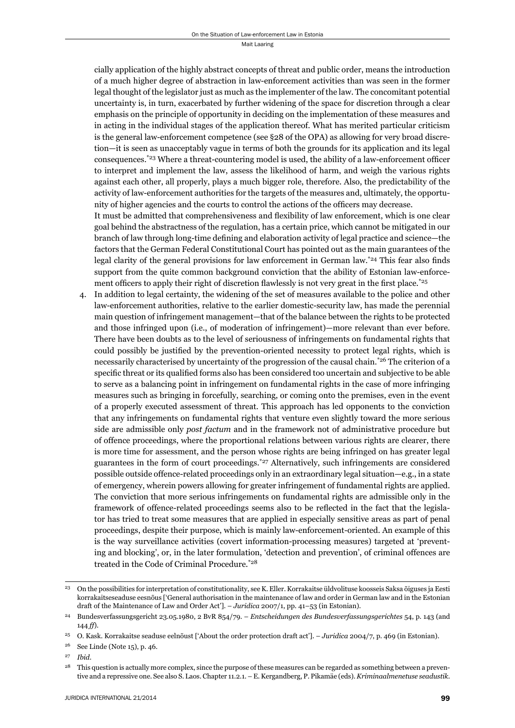Mait Laaring

cially application of the highly abstract concepts of threat and public order, means the introduction of a much higher degree of abstraction in law-enforcement activities than was seen in the former legal thought of the legislator just as much as the implementer of the law. The concomitant potential uncertainty is, in turn, exacerbated by further widening of the space for discretion through a clear emphasis on the principle of opportunity in deciding on the implementation of these measures and in acting in the individual stages of the application thereof. What has merited particular criticism is the general law-enforcement competence (see §28 of the OPA) as allowing for very broad discretion—it is seen as unacceptably vague in terms of both the grounds for its application and its legal consequences.<sup>\*23</sup> Where a threat-countering model is used, the ability of a law-enforcement officer to interpret and implement the law, assess the likelihood of harm, and weigh the various rights against each other, all properly, plays a much bigger role, therefore. Also, the predictability of the activity of law-enforcement authorities for the targets of the measures and, ultimately, the opportunity of higher agencies and the courts to control the actions of the officers may decrease.

It must be admitted that comprehensiveness and flexibility of law enforcement, which is one clear goal behind the abstractness of the regulation, has a certain price, which cannot be mitigated in our branch of law through long-time defining and elaboration activity of legal practice and science—the factors that the German Federal Constitutional Court has pointed out as the main guarantees of the legal clarity of the general provisions for law enforcement in German law.<sup>\*24</sup> This fear also finds support from the quite common background conviction that the ability of Estonian law-enforcement officers to apply their right of discretion flawlessly is not very great in the first place.<sup>\*25</sup>

4. In addition to legal certainty, the widening of the set of measures available to the police and other law-enforcement authorities, relative to the earlier domestic-security law, has made the perennial main question of infringement management—that of the balance between the rights to be protected and those infringed upon (i.e., of moderation of infringement)—more relevant than ever before. There have been doubts as to the level of seriousness of infringements on fundamental rights that could possibly be justified by the prevention-oriented necessity to protect legal rights, which is necessarily characterised by uncertainty of the progression of the causal chain.\*26 The criterion of a specific threat or its qualified forms also has been considered too uncertain and subjective to be able to serve as a balancing point in infringement on fundamental rights in the case of more infringing measures such as bringing in forcefully, searching, or coming onto the premises, even in the event of a properly executed assessment of threat. This approach has led opponents to the conviction that any infringements on fundamental rights that venture even slightly toward the more serious side are admissible only *post factum* and in the framework not of administrative procedure but of offence proceedings, where the proportional relations between various rights are clearer, there is more time for assessment, and the person whose rights are being infringed on has greater legal guarantees in the form of court proceedings.\*27 Alternatively, such infringements are considered possible outside offence-related proceedings only in an extraordinary legal situation—e.g., in a state of emergency, wherein powers allowing for greater infringement of fundamental rights are applied. The conviction that more serious infringements on fundamental rights are admissible only in the framework of offence-related proceedings seems also to be reflected in the fact that the legislator has tried to treat some measures that are applied in especially sensitive areas as part of penal proceedings, despite their purpose, which is mainly law-enforcement-oriented. An example of this is the way surveillance activities (covert information-processing measures) targeted at 'preventing and blocking', or, in the later formulation, 'detection and prevention', of criminal offences are treated in the Code of Criminal Procedure.\*28

<sup>23</sup> On the possibilities for interpretation of constitutionality, see K. Eller. Korrakaitse üldvolituse koosseis Saksa õiguses ja Eesti korrakaitseseaduse eesnõus ['General authorisation in the maintenance of law and order in German law and in the Estonian draft of the Maintenance of Law and Order Act']. – *Juridica* 2007/1, pp. 41–53 (in Estonian).

<sup>24</sup> Bundesverfassungsgericht 23.05.1980, 2 BvR 854/79. – *Entscheidungen des Bundesverfassungsgerichtes* 54, p. 143 (and  $144 ff$ ).

<sup>25</sup> O. Kask. Korrakaitse seaduse eelnõust ['About the order protection draft act']. – *Juridica* 2004/7, p. 469 (in Estonian).

<sup>26</sup> See Linde (Note 15), p. 46.

<sup>27</sup> *Ibid*.

<sup>&</sup>lt;sup>28</sup> This question is actually more complex, since the purpose of these measures can be regarded as something between a preventive and a repressive one. See also S. Laos. Chapter 11.2.1. – E. Kergandberg, P. Pikamäe (eds). *Kriminaalmenetuse seadustik.*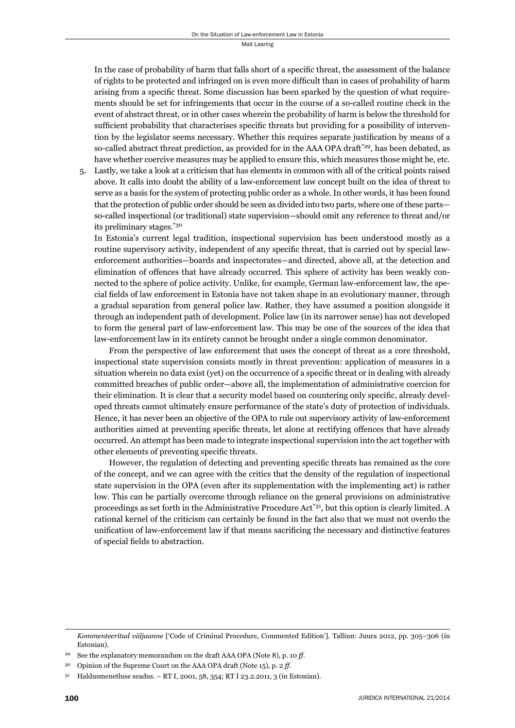In the case of probability of harm that falls short of a specific threat, the assessment of the balance of rights to be protected and infringed on is even more difficult than in cases of probability of harm arising from a specific threat. Some discussion has been sparked by the question of what requirements should be set for infringements that occur in the course of a so-called routine check in the event of abstract threat, or in other cases wherein the probability of harm is below the threshold for sufficient probability that characterises specific threats but providing for a possibility of intervention by the legislator seems necessary. Whether this requires separate justification by means of a so-called abstract threat prediction, as provided for in the AAA OPA draft<sup>\*29</sup>, has been debated, as have whether coercive measures may be applied to ensure this, which measures those might be, etc.

5. Lastly, we take a look at a criticism that has elements in common with all of the critical points raised above. It calls into doubt the ability of a law-enforcement law concept built on the idea of threat to serve as a basis for the system of protecting public order as a whole. In other words, it has been found that the protection of public order should be seen as divided into two parts, where one of these parts so-called inspectional (or traditional) state supervision—should omit any reference to threat and/or its preliminary stages.\*30

 In Estonia's current legal tradition, inspectional supervision has been understood mostly as a routine supervisory activity, independent of any specific threat, that is carried out by special lawenforcement authorities—boards and inspectorates—and directed, above all, at the detection and elimination of offences that have already occurred. This sphere of activity has been weakly connected to the sphere of police activity. Unlike, for example, German law-enforcement law, the special fields of law enforcement in Estonia have not taken shape in an evolutionary manner, through a gradual separation from general police law. Rather, they have assumed a position alongside it through an independent path of development. Police law (in its narrower sense) has not developed to form the general part of law-enforcement law. This may be one of the sources of the idea that law-enforcement law in its entirety cannot be brought under a single common denominator.

 From the perspective of law enforcement that uses the concept of threat as a core threshold, inspectional state supervision consists mostly in threat prevention: application of measures in a situation wherein no data exist (yet) on the occurrence of a specific threat or in dealing with already committed breaches of public order—above all, the implementation of administrative coercion for their elimination. It is clear that a security model based on countering only specific, already developed threats cannot ultimately ensure performance of the state's duty of protection of individuals. Hence, it has never been an objective of the OPA to rule out supervisory activity of law-enforcement authorities aimed at preventing specific threats, let alone at rectifying offences that have already occurred. An attempt has been made to integrate inspectional supervision into the act together with other elements of preventing specific threats.

However, the regulation of detecting and preventing specific threats has remained as the core of the concept, and we can agree with the critics that the density of the regulation of inspectional state supervision in the OPA (even after its supplementation with the implementing act) is rather low. This can be partially overcome through reliance on the general provisions on administrative proceedings as set forth in the Administrative Procedure Act\*31, but this option is clearly limited. A rational kernel of the criticism can certainly be found in the fact also that we must not overdo the unification of law-enforcement law if that means sacrificing the necessary and distinctive features of special fields to abstraction.

*Kommenteeritud väljaanne* ['Code of Criminal Procedure, Commented Edition']. Tallinn: Juura 2012, pp. 305–306 (in Estonian).

See the explanatory memorandum on the draft AAA OPA (Note 8), p. 10 *ff*.

<sup>30</sup> Opinion of the Supreme Court on the AAA OPA draft (Note 15), p. 2 *ff*.

<sup>31</sup> Haldusmenetluse seadus. – RT I, 2001, 58, 354; RT I 23.2.2011, 3 (in Estonian).